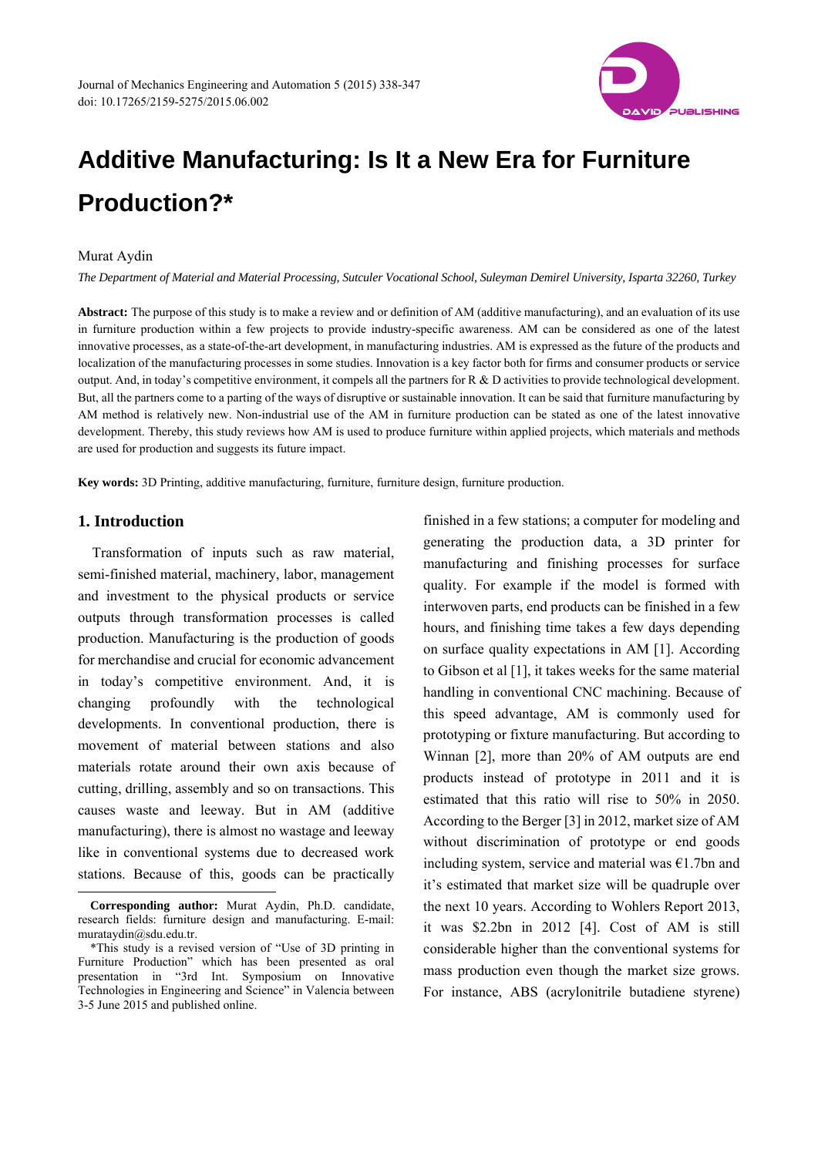

# **Additive Manufacturing: Is It a New Era for Furniture Production?\***

#### Murat Aydin

*The Department of Material and Material Processing, Sutculer Vocational School, Suleyman Demirel University, Isparta 32260, Turkey* 

**Abstract:** The purpose of this study is to make a review and or definition of AM (additive manufacturing), and an evaluation of its use in furniture production within a few projects to provide industry-specific awareness. AM can be considered as one of the latest innovative processes, as a state-of-the-art development, in manufacturing industries. AM is expressed as the future of the products and localization of the manufacturing processes in some studies. Innovation is a key factor both for firms and consumer products or service output. And, in today's competitive environment, it compels all the partners for R & D activities to provide technological development. But, all the partners come to a parting of the ways of disruptive or sustainable innovation. It can be said that furniture manufacturing by AM method is relatively new. Non-industrial use of the AM in furniture production can be stated as one of the latest innovative development. Thereby, this study reviews how AM is used to produce furniture within applied projects, which materials and methods are used for production and suggests its future impact.

**Key words:** 3D Printing, additive manufacturing, furniture, furniture design, furniture production.

# **1. Introduction**

 $\overline{a}$ 

Transformation of inputs such as raw material, semi-finished material, machinery, labor, management and investment to the physical products or service outputs through transformation processes is called production. Manufacturing is the production of goods for merchandise and crucial for economic advancement in today's competitive environment. And, it is changing profoundly with the technological developments. In conventional production, there is movement of material between stations and also materials rotate around their own axis because of cutting, drilling, assembly and so on transactions. This causes waste and leeway. But in AM (additive manufacturing), there is almost no wastage and leeway like in conventional systems due to decreased work stations. Because of this, goods can be practically

finished in a few stations; a computer for modeling and generating the production data, a 3D printer for manufacturing and finishing processes for surface quality. For example if the model is formed with interwoven parts, end products can be finished in a few hours, and finishing time takes a few days depending on surface quality expectations in AM [1]. According to Gibson et al [1], it takes weeks for the same material handling in conventional CNC machining. Because of this speed advantage, AM is commonly used for prototyping or fixture manufacturing. But according to Winnan [2], more than 20% of AM outputs are end products instead of prototype in 2011 and it is estimated that this ratio will rise to 50% in 2050. According to the Berger [3] in 2012, market size of AM without discrimination of prototype or end goods including system, service and material was  $E1.7$ bn and it's estimated that market size will be quadruple over the next 10 years. According to Wohlers Report 2013, it was \$2.2bn in 2012 [4]. Cost of AM is still considerable higher than the conventional systems for mass production even though the market size grows. For instance, ABS (acrylonitrile butadiene styrene)

**Corresponding author:** Murat Aydin, Ph.D. candidate, research fields: furniture design and manufacturing. E-mail: murataydin@sdu.edu.tr.

<sup>\*</sup>This study is a revised version of "Use of 3D printing in Furniture Production" which has been presented as oral presentation in "3rd Int. Symposium on Innovative Technologies in Engineering and Science" in Valencia between 3-5 June 2015 and published online.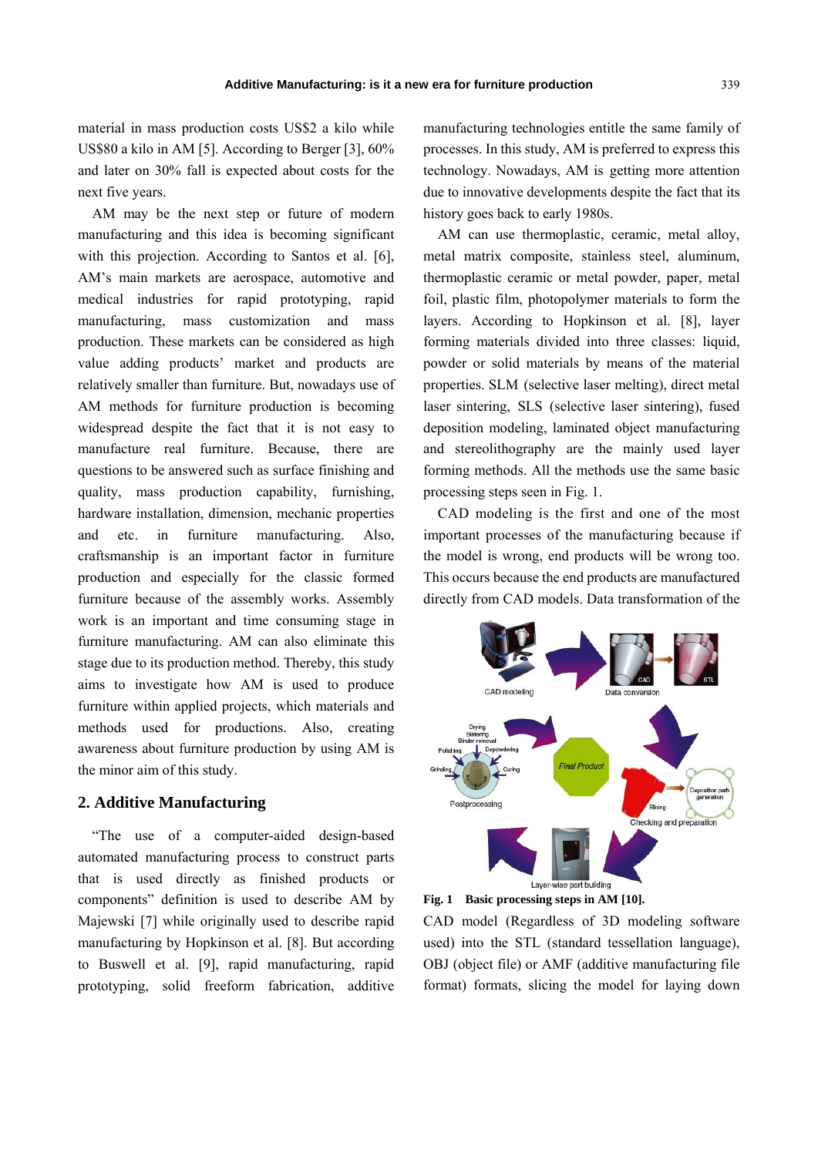material in mass production costs US\$2 a kilo while US\$80 a kilo in AM [5]. According to Berger [3], 60% and later on 30% fall is expected about costs for the next five years.

AM may be the next step or future of modern manufacturing and this idea is becoming significant with this projection. According to Santos et al. [6], AM's main markets are aerospace, automotive and medical industries for rapid prototyping, rapid manufacturing, mass customization and mass production. These markets can be considered as high value adding products' market and products are relatively smaller than furniture. But, nowadays use of AM methods for furniture production is becoming widespread despite the fact that it is not easy to manufacture real furniture. Because, there are questions to be answered such as surface finishing and quality, mass production capability, furnishing, hardware installation, dimension, mechanic properties and etc. in furniture manufacturing. Also, craftsmanship is an important factor in furniture production and especially for the classic formed furniture because of the assembly works. Assembly work is an important and time consuming stage in furniture manufacturing. AM can also eliminate this stage due to its production method. Thereby, this study aims to investigate how AM is used to produce furniture within applied projects, which materials and methods used for productions. Also, creating awareness about furniture production by using AM is the minor aim of this study.

## **2. Additive Manufacturing**

"The use of a computer-aided design-based automated manufacturing process to construct parts that is used directly as finished products or components" definition is used to describe AM by Majewski [7] while originally used to describe rapid manufacturing by Hopkinson et al. [8]. But according to Buswell et al. [9], rapid manufacturing, rapid prototyping, solid freeform fabrication, additive manufacturing technologies entitle the same family of processes. In this study, AM is preferred to express this technology. Nowadays, AM is getting more attention due to innovative developments despite the fact that its history goes back to early 1980s.

AM can use thermoplastic, ceramic, metal alloy, metal matrix composite, stainless steel, aluminum, thermoplastic ceramic or metal powder, paper, metal foil, plastic film, photopolymer materials to form the layers. According to Hopkinson et al. [8], layer forming materials divided into three classes: liquid, powder or solid materials by means of the material properties. SLM (selective laser melting), direct metal laser sintering, SLS (selective laser sintering), fused deposition modeling, laminated object manufacturing and stereolithography are the mainly used layer forming methods. All the methods use the same basic processing steps seen in Fig. 1.

CAD modeling is the first and one of the most important processes of the manufacturing because if the model is wrong, end products will be wrong too. This occurs because the end products are manufactured directly from CAD models. Data transformation of the





CAD model (Regardless of 3D modeling software used) into the STL (standard tessellation language), OBJ (object file) or AMF (additive manufacturing file format) formats, slicing the model for laying down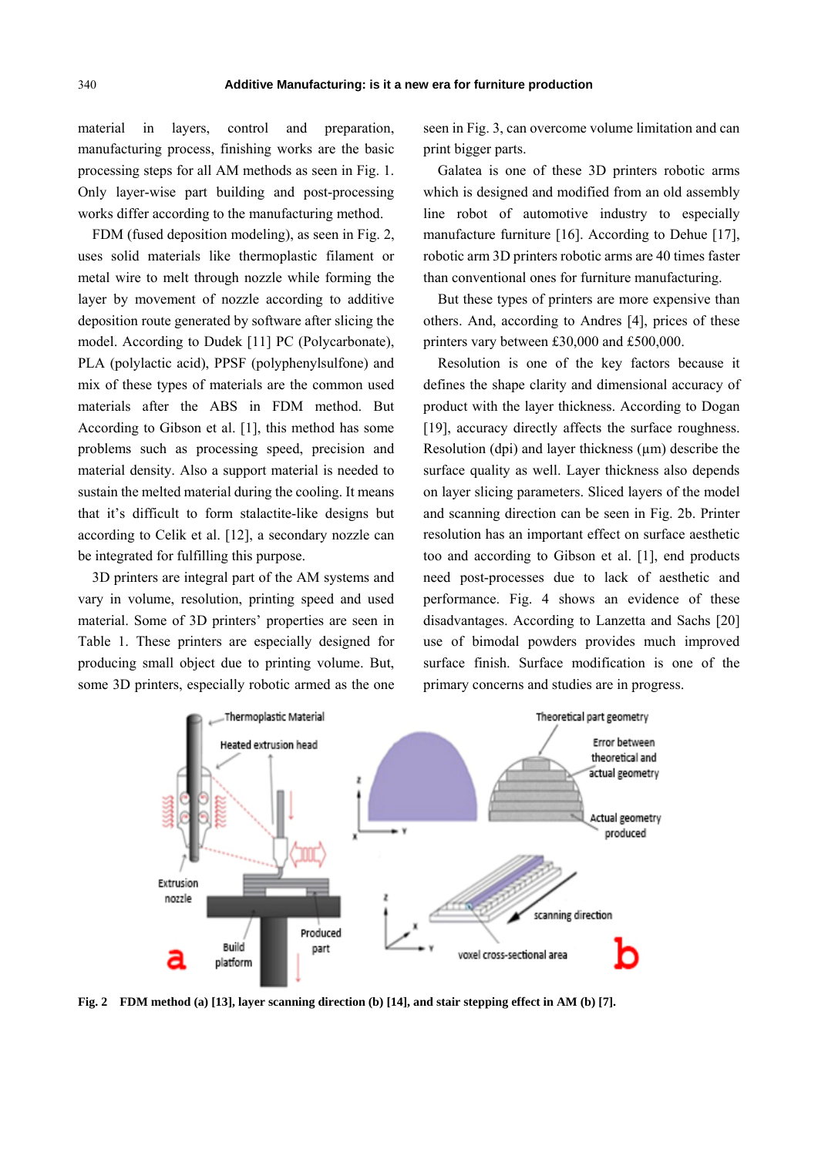material in layers, control and preparation, manufacturing process, finishing works are the basic processing steps for all AM methods as seen in Fig. 1. Only layer-wise part building and post-processing works differ according to the manufacturing method.

FDM (fused deposition modeling), as seen in Fig. 2, uses solid materials like thermoplastic filament or metal wire to melt through nozzle while forming the layer by movement of nozzle according to additive deposition route generated by software after slicing the model. According to Dudek [11] PC (Polycarbonate), PLA (polylactic acid), PPSF (polyphenylsulfone) and mix of these types of materials are the common used materials after the ABS in FDM method. But According to Gibson et al. [1], this method has some problems such as processing speed, precision and material density. Also a support material is needed to sustain the melted material during the cooling. It means that it's difficult to form stalactite-like designs but according to Celik et al. [12], a secondary nozzle can be integrated for fulfilling this purpose.

3D printers are integral part of the AM systems and vary in volume, resolution, printing speed and used material. Some of 3D printers' properties are seen in Table 1. These printers are especially designed for producing small object due to printing volume. But, some 3D printers, especially robotic armed as the one seen in Fig. 3, can overcome volume limitation and can print bigger parts.

Galatea is one of these 3D printers robotic arms which is designed and modified from an old assembly line robot of automotive industry to especially manufacture furniture [16]. According to Dehue [17], robotic arm 3D printers robotic arms are 40 times faster than conventional ones for furniture manufacturing.

But these types of printers are more expensive than others. And, according to Andres [4], prices of these printers vary between £30,000 and £500,000.

Resolution is one of the key factors because it defines the shape clarity and dimensional accuracy of product with the layer thickness. According to Dogan [19], accuracy directly affects the surface roughness. Resolution (dpi) and layer thickness  $(\mu m)$  describe the surface quality as well. Layer thickness also depends on layer slicing parameters. Sliced layers of the model and scanning direction can be seen in Fig. 2b. Printer resolution has an important effect on surface aesthetic too and according to Gibson et al. [1], end products need post-processes due to lack of aesthetic and performance. Fig. 4 shows an evidence of these disadvantages. According to Lanzetta and Sachs [20] use of bimodal powders provides much improved surface finish. Surface modification is one of the primary concerns and studies are in progress.



**Fig. 2 FDM method (a) [13], layer scanning direction (b) [14], and stair stepping effect in AM (b) [7].**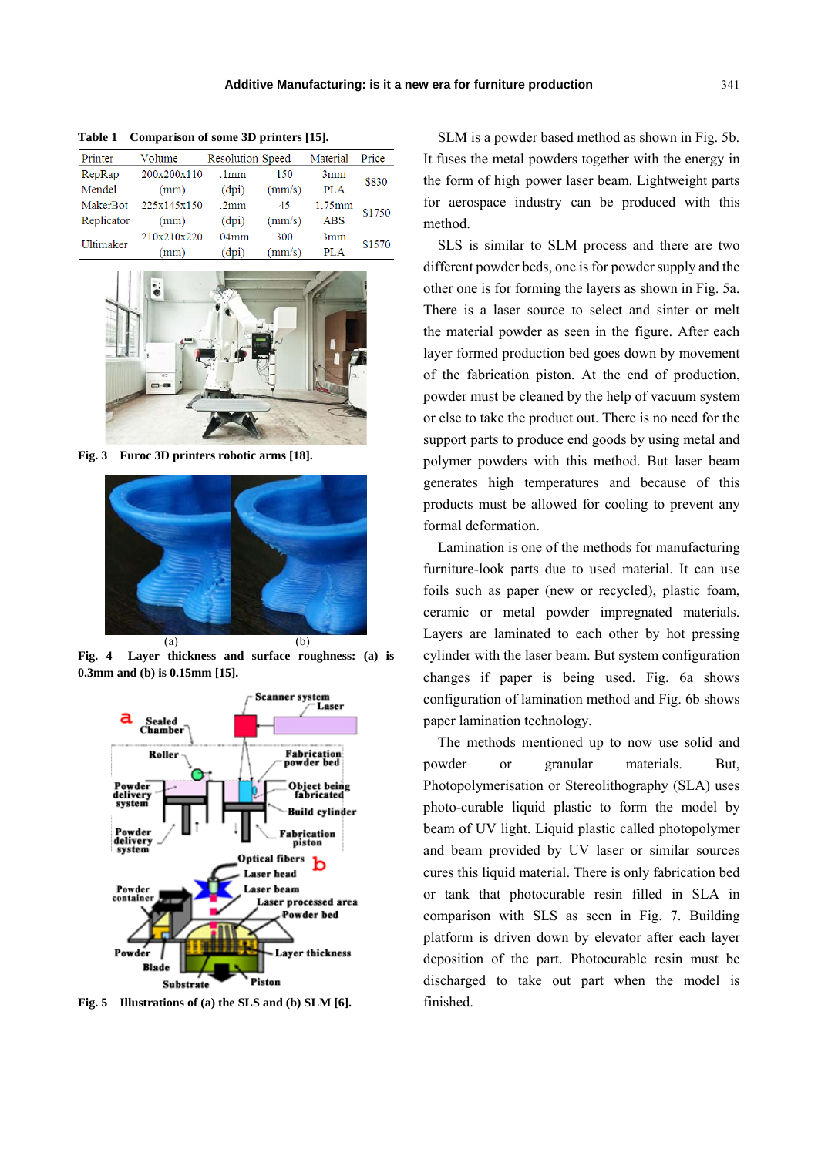| Printer    | Volume      | <b>Resolution Speed</b> |        | Material   | Price  |
|------------|-------------|-------------------------|--------|------------|--------|
| RepRap     | 200x200x110 | .1mm                    | 150    | 3mm        | \$830  |
| Mendel     | (mm)        | (dpi)                   | (mm/s) | <b>PLA</b> |        |
| MakerBot   | 225x145x150 | .2mm                    | 45     | $1.75$ mm  | \$1750 |
| Replicator | (mm)        | (dpi)                   | (mm/s) | <b>ABS</b> |        |
| Ultimaker  | 210x210x220 | .04mm                   | 300    | 3mm        | \$1570 |
|            | (mm)        | (dpi)                   | (mm/s) | PLA        |        |

**Table 1 Comparison of some 3D printers [15].** 



**Fig. 3 Furoc 3D printers robotic arms [18].** 



**Fig. 4 Layer thickness and surface roughness: (a) is 0.3mm and (b) is 0.15mm [15].** 



**Fig. 5 Illustrations of (a) the SLS and (b) SLM [6].** 

SLM is a powder based method as shown in Fig. 5b. It fuses the metal powders together with the energy in the form of high power laser beam. Lightweight parts for aerospace industry can be produced with this method.

SLS is similar to SLM process and there are two different powder beds, one is for powder supply and the other one is for forming the layers as shown in Fig. 5a. There is a laser source to select and sinter or melt the material powder as seen in the figure. After each layer formed production bed goes down by movement of the fabrication piston. At the end of production, powder must be cleaned by the help of vacuum system or else to take the product out. There is no need for the support parts to produce end goods by using metal and polymer powders with this method. But laser beam generates high temperatures and because of this products must be allowed for cooling to prevent any formal deformation.

Lamination is one of the methods for manufacturing furniture-look parts due to used material. It can use foils such as paper (new or recycled), plastic foam, ceramic or metal powder impregnated materials. Layers are laminated to each other by hot pressing cylinder with the laser beam. But system configuration changes if paper is being used. Fig. 6a shows configuration of lamination method and Fig. 6b shows paper lamination technology.

The methods mentioned up to now use solid and powder or granular materials. But, Photopolymerisation or Stereolithography (SLA) uses photo-curable liquid plastic to form the model by beam of UV light. Liquid plastic called photopolymer and beam provided by UV laser or similar sources cures this liquid material. There is only fabrication bed or tank that photocurable resin filled in SLA in comparison with SLS as seen in Fig. 7. Building platform is driven down by elevator after each layer deposition of the part. Photocurable resin must be discharged to take out part when the model is finished.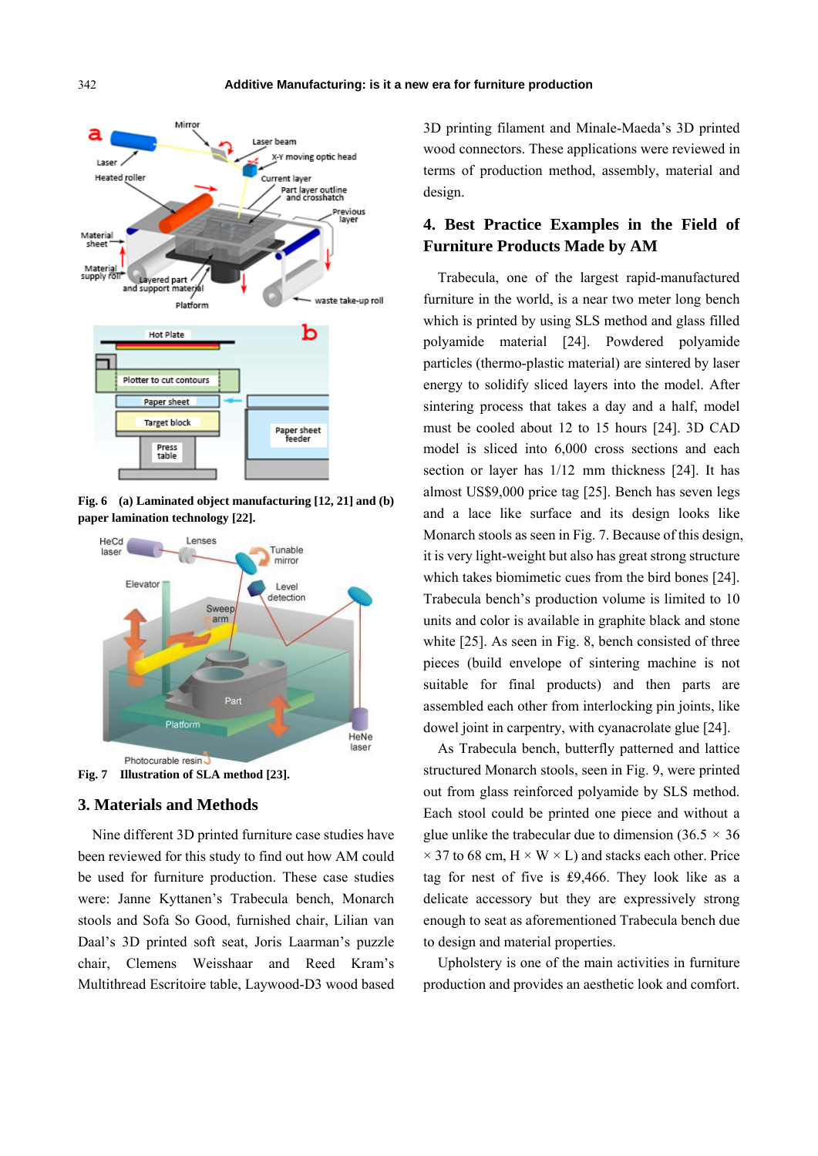





**Fig. 7 Illustration of SLA method [23].** 

# **3. Materials and Methods**

Nine different 3D printed furniture case studies have been reviewed for this study to find out how AM could be used for furniture production. These case studies were: Janne Kyttanen's Trabecula bench, Monarch stools and Sofa So Good, furnished chair, Lilian van Daal's 3D printed soft seat, Joris Laarman's puzzle chair, Clemens Weisshaar and Reed Kram's Multithread Escritoire table, Laywood-D3 wood based 3D printing filament and Minale-Maeda's 3D printed wood connectors. These applications were reviewed in terms of production method, assembly, material and design.

# **4. Best Practice Examples in the Field of Furniture Products Made by AM**

Trabecula, one of the largest rapid-manufactured furniture in the world, is a near two meter long bench which is printed by using SLS method and glass filled polyamide material [24]. Powdered polyamide particles (thermo-plastic material) are sintered by laser energy to solidify sliced layers into the model. After sintering process that takes a day and a half, model must be cooled about 12 to 15 hours [24]. 3D CAD model is sliced into 6,000 cross sections and each section or layer has 1/12 mm thickness [24]. It has almost US\$9,000 price tag [25]. Bench has seven legs and a lace like surface and its design looks like Monarch stools as seen in Fig. 7. Because of this design, it is very light-weight but also has great strong structure which takes biomimetic cues from the bird bones [24]. Trabecula bench's production volume is limited to 10 units and color is available in graphite black and stone white [25]. As seen in Fig. 8, bench consisted of three pieces (build envelope of sintering machine is not suitable for final products) and then parts are assembled each other from interlocking pin joints, like dowel joint in carpentry, with cyanacrolate glue [24].

As Trabecula bench, butterfly patterned and lattice structured Monarch stools, seen in Fig. 9, were printed out from glass reinforced polyamide by SLS method. Each stool could be printed one piece and without a glue unlike the trabecular due to dimension  $(36.5 \times 36)$  $\times$  37 to 68 cm, H  $\times$  W  $\times$  L) and stacks each other. Price tag for nest of five is ₤9,466. They look like as a delicate accessory but they are expressively strong enough to seat as aforementioned Trabecula bench due to design and material properties.

Upholstery is one of the main activities in furniture production and provides an aesthetic look and comfort.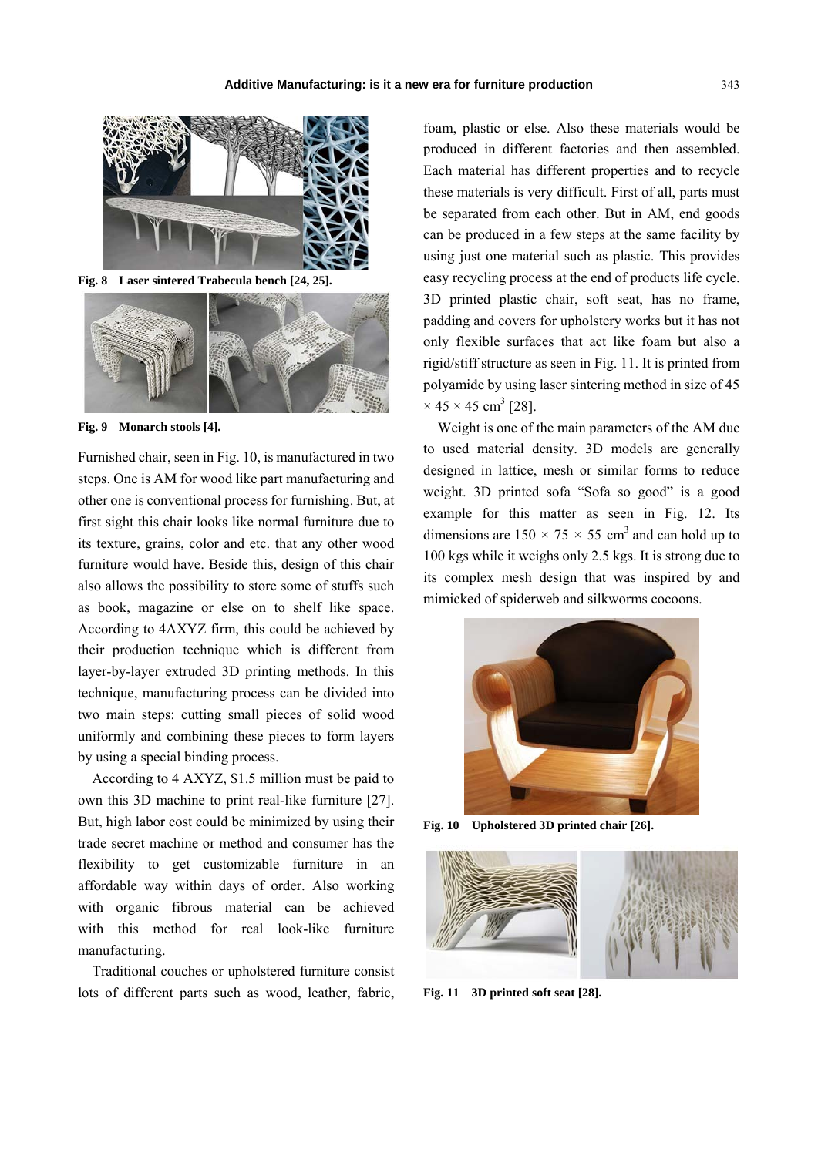

**Fig. 8 Laser sintered Trabecula bench [24, 25].** 



**Fig. 9 Monarch stools [4].** 

Furnished chair, seen in Fig. 10, is manufactured in two steps. One is AM for wood like part manufacturing and other one is conventional process for furnishing. But, at first sight this chair looks like normal furniture due to its texture, grains, color and etc. that any other wood furniture would have. Beside this, design of this chair also allows the possibility to store some of stuffs such as book, magazine or else on to shelf like space. According to 4AXYZ firm, this could be achieved by their production technique which is different from layer-by-layer extruded 3D printing methods. In this technique, manufacturing process can be divided into two main steps: cutting small pieces of solid wood uniformly and combining these pieces to form layers by using a special binding process.

According to 4 AXYZ, \$1.5 million must be paid to own this 3D machine to print real-like furniture [27]. But, high labor cost could be minimized by using their trade secret machine or method and consumer has the flexibility to get customizable furniture in an affordable way within days of order. Also working with organic fibrous material can be achieved with this method for real look-like furniture manufacturing.

Traditional couches or upholstered furniture consist lots of different parts such as wood, leather, fabric, foam, plastic or else. Also these materials would be produced in different factories and then assembled. Each material has different properties and to recycle these materials is very difficult. First of all, parts must be separated from each other. But in AM, end goods can be produced in a few steps at the same facility by using just one material such as plastic. This provides easy recycling process at the end of products life cycle. 3D printed plastic chair, soft seat, has no frame, padding and covers for upholstery works but it has not only flexible surfaces that act like foam but also a rigid/stiff structure as seen in Fig. 11. It is printed from polyamide by using laser sintering method in size of 45  $\times$  45  $\times$  45 cm<sup>3</sup> [28].

Weight is one of the main parameters of the AM due to used material density. 3D models are generally designed in lattice, mesh or similar forms to reduce weight. 3D printed sofa "Sofa so good" is a good example for this matter as seen in Fig. 12. Its dimensions are  $150 \times 75 \times 55$  cm<sup>3</sup> and can hold up to 100 kgs while it weighs only 2.5 kgs. It is strong due to its complex mesh design that was inspired by and mimicked of spiderweb and silkworms cocoons.



**Fig. 10 Upholstered 3D printed chair [26].** 



**Fig. 11 3D printed soft seat [28].**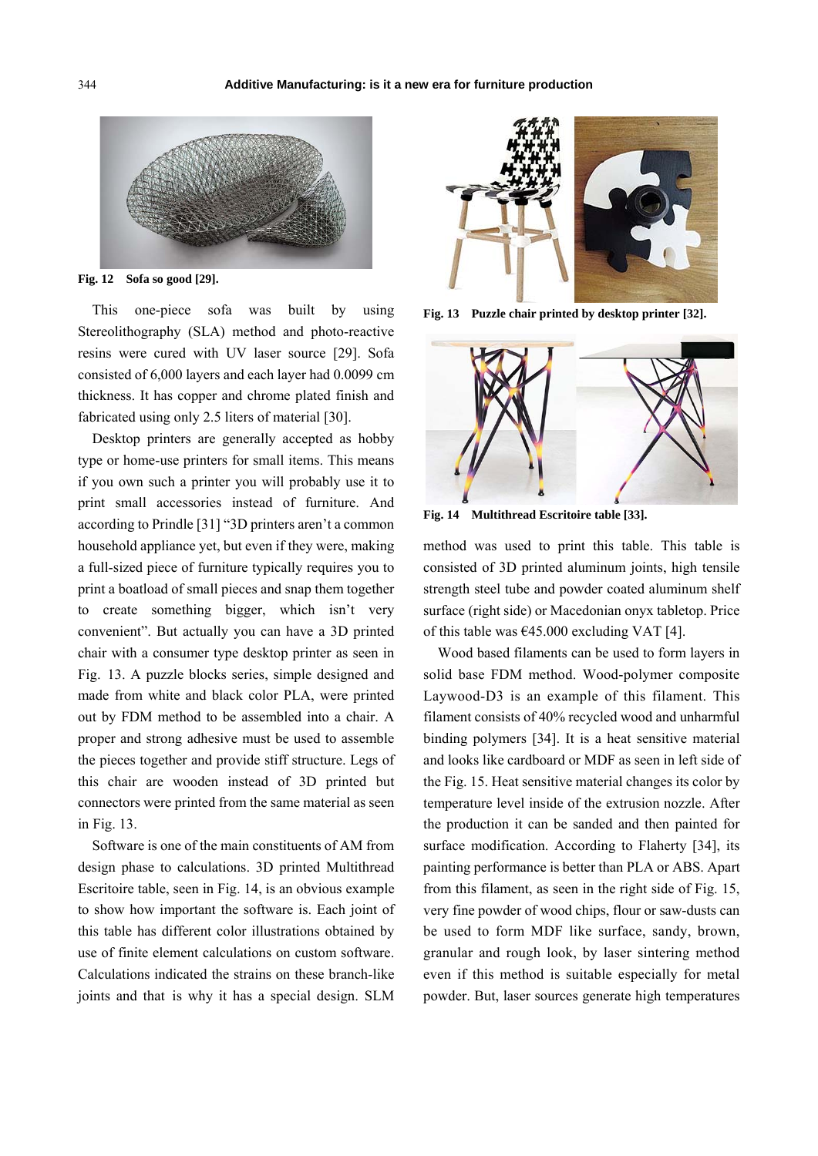

**Fig. 12 Sofa so good [29].** 

This one-piece sofa was built by using Stereolithography (SLA) method and photo-reactive resins were cured with UV laser source [29]. Sofa consisted of 6,000 layers and each layer had 0.0099 cm thickness. It has copper and chrome plated finish and fabricated using only 2.5 liters of material [30].

Desktop printers are generally accepted as hobby type or home-use printers for small items. This means if you own such a printer you will probably use it to print small accessories instead of furniture. And according to Prindle [31] "3D printers aren't a common household appliance yet, but even if they were, making a full-sized piece of furniture typically requires you to print a boatload of small pieces and snap them together to create something bigger, which isn't very convenient". But actually you can have a 3D printed chair with a consumer type desktop printer as seen in Fig. 13. A puzzle blocks series, simple designed and made from white and black color PLA, were printed out by FDM method to be assembled into a chair. A proper and strong adhesive must be used to assemble the pieces together and provide stiff structure. Legs of this chair are wooden instead of 3D printed but connectors were printed from the same material as seen in Fig. 13.

Software is one of the main constituents of AM from design phase to calculations. 3D printed Multithread Escritoire table, seen in Fig. 14, is an obvious example to show how important the software is. Each joint of this table has different color illustrations obtained by use of finite element calculations on custom software. Calculations indicated the strains on these branch-like joints and that is why it has a special design. SLM



**Fig. 13 Puzzle chair printed by desktop printer [32].** 



**Fig. 14 Multithread Escritoire table [33].** 

method was used to print this table. This table is consisted of 3D printed aluminum joints, high tensile strength steel tube and powder coated aluminum shelf surface (right side) or Macedonian onyx tabletop. Price of this table was  $\epsilon$ 45.000 excluding VAT [4].

Wood based filaments can be used to form layers in solid base FDM method. Wood-polymer composite Laywood-D3 is an example of this filament. This filament consists of 40% recycled wood and unharmful binding polymers [34]. It is a heat sensitive material and looks like cardboard or MDF as seen in left side of the Fig. 15. Heat sensitive material changes its color by temperature level inside of the extrusion nozzle. After the production it can be sanded and then painted for surface modification. According to Flaherty [34], its painting performance is better than PLA or ABS. Apart from this filament, as seen in the right side of Fig. 15, very fine powder of wood chips, flour or saw-dusts can be used to form MDF like surface, sandy, brown, granular and rough look, by laser sintering method even if this method is suitable especially for metal powder. But, laser sources generate high temperatures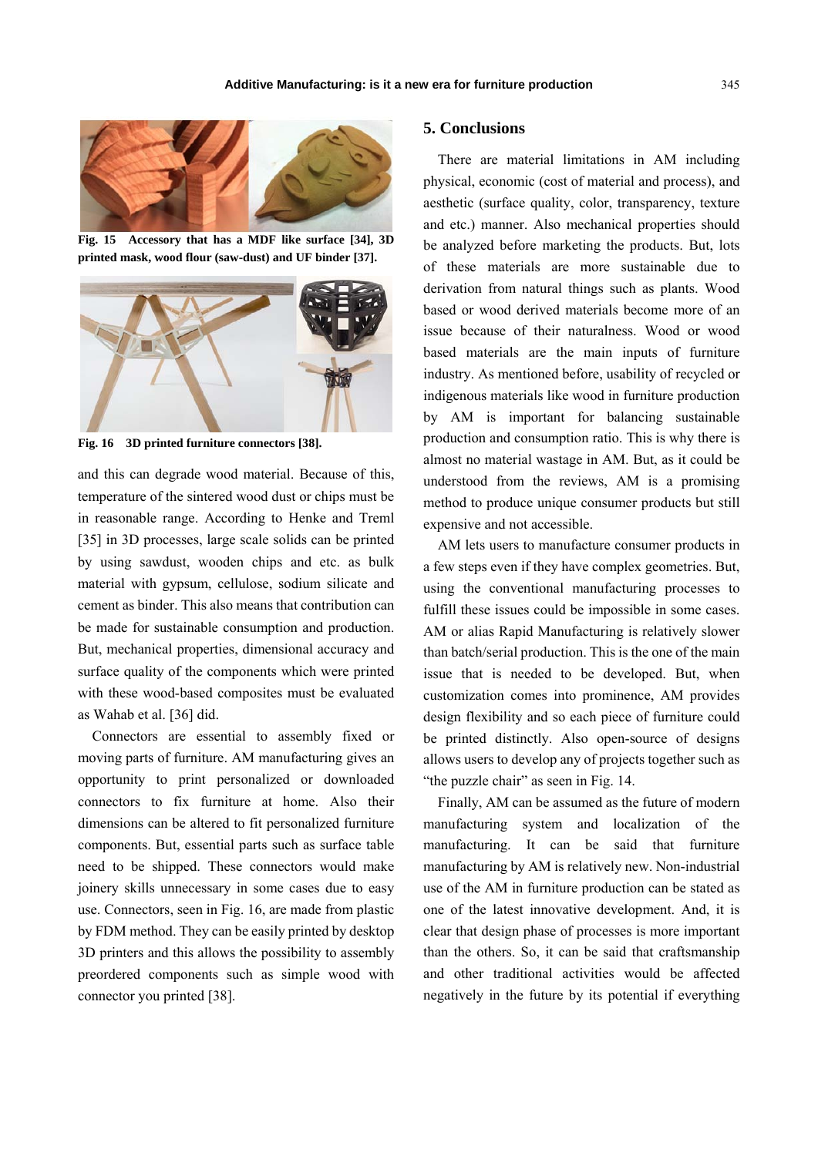

**Fig. 15 Accessory that has a MDF like surface [34], 3D printed mask, wood flour (saw-dust) and UF binder [37].** 



**Fig. 16 3D printed furniture connectors [38].** 

and this can degrade wood material. Because of this, temperature of the sintered wood dust or chips must be in reasonable range. According to Henke and Treml [35] in 3D processes, large scale solids can be printed by using sawdust, wooden chips and etc. as bulk material with gypsum, cellulose, sodium silicate and cement as binder. This also means that contribution can be made for sustainable consumption and production. But, mechanical properties, dimensional accuracy and surface quality of the components which were printed with these wood-based composites must be evaluated as Wahab et al. [36] did.

Connectors are essential to assembly fixed or moving parts of furniture. AM manufacturing gives an opportunity to print personalized or downloaded connectors to fix furniture at home. Also their dimensions can be altered to fit personalized furniture components. But, essential parts such as surface table need to be shipped. These connectors would make joinery skills unnecessary in some cases due to easy use. Connectors, seen in Fig. 16, are made from plastic by FDM method. They can be easily printed by desktop 3D printers and this allows the possibility to assembly preordered components such as simple wood with connector you printed [38].

## **5. Conclusions**

There are material limitations in AM including physical, economic (cost of material and process), and aesthetic (surface quality, color, transparency, texture and etc.) manner. Also mechanical properties should be analyzed before marketing the products. But, lots of these materials are more sustainable due to derivation from natural things such as plants. Wood based or wood derived materials become more of an issue because of their naturalness. Wood or wood based materials are the main inputs of furniture industry. As mentioned before, usability of recycled or indigenous materials like wood in furniture production by AM is important for balancing sustainable production and consumption ratio. This is why there is almost no material wastage in AM. But, as it could be understood from the reviews, AM is a promising method to produce unique consumer products but still expensive and not accessible.

AM lets users to manufacture consumer products in a few steps even if they have complex geometries. But, using the conventional manufacturing processes to fulfill these issues could be impossible in some cases. AM or alias Rapid Manufacturing is relatively slower than batch/serial production. This is the one of the main issue that is needed to be developed. But, when customization comes into prominence, AM provides design flexibility and so each piece of furniture could be printed distinctly. Also open-source of designs allows users to develop any of projects together such as "the puzzle chair" as seen in Fig. 14.

Finally, AM can be assumed as the future of modern manufacturing system and localization of the manufacturing. It can be said that furniture manufacturing by AM is relatively new. Non-industrial use of the AM in furniture production can be stated as one of the latest innovative development. And, it is clear that design phase of processes is more important than the others. So, it can be said that craftsmanship and other traditional activities would be affected negatively in the future by its potential if everything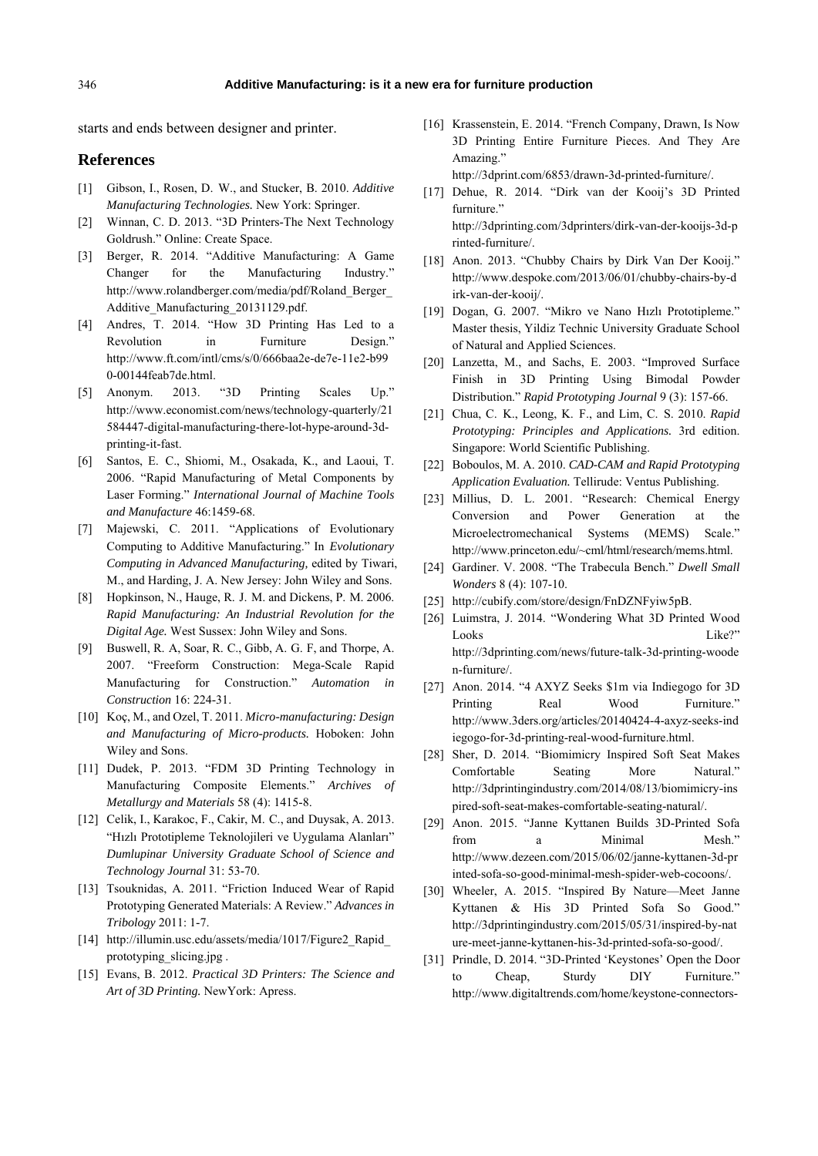starts and ends between designer and printer.

#### **References**

- [1] Gibson, I., Rosen, D. W., and Stucker, B. 2010. *Additive Manufacturing Technologies.* New York: Springer.
- [2] Winnan, C. D. 2013. "3D Printers-The Next Technology Goldrush." Online: Create Space.
- [3] Berger, R. 2014. "Additive Manufacturing: A Game Changer for the Manufacturing Industry." http://www.rolandberger.com/media/pdf/Roland\_Berger\_ Additive\_Manufacturing\_20131129.pdf.
- [4] Andres, T. 2014. "How 3D Printing Has Led to a Revolution in Furniture Design." http://www.ft.com/intl/cms/s/0/666baa2e-de7e-11e2-b99 0-00144feab7de.html.
- [5] Anonym. 2013. "3D Printing Scales Up." http://www.economist.com/news/technology-quarterly/21 584447-digital-manufacturing-there-lot-hype-around-3dprinting-it-fast.
- [6] Santos, E. C., Shiomi, M., Osakada, K., and Laoui, T. 2006. "Rapid Manufacturing of Metal Components by Laser Forming." *International Journal of Machine Tools and Manufacture* 46:1459-68.
- [7] Majewski, C. 2011. "Applications of Evolutionary Computing to Additive Manufacturing." In *Evolutionary Computing in Advanced Manufacturing,* edited by Tiwari, M., and Harding, J. A. New Jersey: John Wiley and Sons.
- [8] Hopkinson, N., Hauge, R. J. M. and Dickens, P. M. 2006. *Rapid Manufacturing: An Industrial Revolution for the Digital Age.* West Sussex: John Wiley and Sons.
- [9] Buswell, R. A, Soar, R. C., Gibb, A. G. F, and Thorpe, A. 2007. "Freeform Construction: Mega-Scale Rapid Manufacturing for Construction." *Automation in Construction* 16: 224-31.
- [10] Koç, M., and Ozel, T. 2011. *Micro-manufacturing: Design and Manufacturing of Micro-products.* Hoboken: John Wiley and Sons.
- [11] Dudek, P. 2013. "FDM 3D Printing Technology in Manufacturing Composite Elements." *Archives of Metallurgy and Materials* 58 (4): 1415-8.
- [12] Celik, I., Karakoc, F., Cakir, M. C., and Duysak, A. 2013. "Hızlı Prototipleme Teknolojileri ve Uygulama Alanları" *Dumlupinar University Graduate School of Science and Technology Journal* 31: 53-70.
- [13] Tsouknidas, A. 2011. "Friction Induced Wear of Rapid Prototyping Generated Materials: A Review." *Advances in Tribology* 2011: 1-7.
- [14] http://illumin.usc.edu/assets/media/1017/Figure2 Rapid prototyping\_slicing.jpg .
- [15] Evans, B. 2012. *Practical 3D Printers: The Science and Art of 3D Printing.* NewYork: Apress.
- [16] Krassenstein, E. 2014. "French Company, Drawn, Is Now 3D Printing Entire Furniture Pieces. And They Are Amazing." http://3dprint.com/6853/drawn-3d-printed-furniture/.
- [17] Dehue, R. 2014. "Dirk van der Kooij's 3D Printed furniture." http://3dprinting.com/3dprinters/dirk-van-der-kooijs-3d-p rinted-furniture/.
- [18] Anon. 2013. "Chubby Chairs by Dirk Van Der Kooij." http://www.despoke.com/2013/06/01/chubby-chairs-by-d irk-van-der-kooij/.
- [19] Dogan, G. 2007. "Mikro ve Nano Hızlı Prototipleme." Master thesis, Yildiz Technic University Graduate School of Natural and Applied Sciences.
- [20] Lanzetta, M., and Sachs, E. 2003. "Improved Surface Finish in 3D Printing Using Bimodal Powder Distribution." *Rapid Prototyping Journal* 9 (3): 157-66.
- [21] Chua, C. K., Leong, K. F., and Lim, C. S. 2010. *Rapid Prototyping: Principles and Applications.* 3rd edition. Singapore: World Scientific Publishing.
- [22] Boboulos, M. A. 2010. *CAD-CAM and Rapid Prototyping Application Evaluation.* Tellirude: Ventus Publishing.
- [23] Millius, D. L. 2001. "Research: Chemical Energy Conversion and Power Generation at the Microelectromechanical Systems (MEMS) Scale." http://www.princeton.edu/~cml/html/research/mems.html.
- [24] Gardiner. V. 2008. "The Trabecula Bench." *Dwell Small Wonders* 8 (4): 107-10.
- [25] http://cubify.com/store/design/FnDZNFyiw5pB.
- [26] Luimstra, J. 2014. "Wondering What 3D Printed Wood Looks Like?" http://3dprinting.com/news/future-talk-3d-printing-woode n-furniture/.
- [27] Anon. 2014. "4 AXYZ Seeks \$1m via Indiegogo for 3D Printing Real Wood Furniture." http://www.3ders.org/articles/20140424-4-axyz-seeks-ind iegogo-for-3d-printing-real-wood-furniture.html.
- [28] Sher, D. 2014. "Biomimicry Inspired Soft Seat Makes Comfortable Seating More Natural." http://3dprintingindustry.com/2014/08/13/biomimicry-ins pired-soft-seat-makes-comfortable-seating-natural/.
- [29] Anon. 2015. "Janne Kyttanen Builds 3D-Printed Sofa from a Minimal Mesh." http://www.dezeen.com/2015/06/02/janne-kyttanen-3d-pr inted-sofa-so-good-minimal-mesh-spider-web-cocoons/.
- [30] Wheeler, A. 2015. "Inspired By Nature—Meet Janne Kyttanen & His 3D Printed Sofa So Good." http://3dprintingindustry.com/2015/05/31/inspired-by-nat ure-meet-janne-kyttanen-his-3d-printed-sofa-so-good/.
- [31] Prindle, D. 2014. "3D-Printed 'Keystones' Open the Door to Cheap, Sturdy DIY Furniture." http://www.digitaltrends.com/home/keystone-connectors-